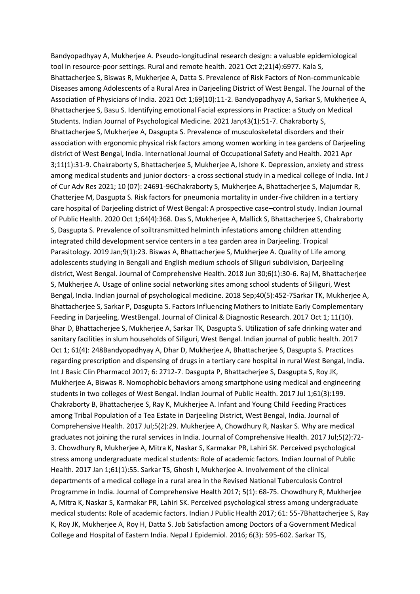Bandyopadhyay A, Mukherjee A. Pseudo-longitudinal research design: a valuable epidemiological tool in resource-poor settings. Rural and remote health. 2021 Oct 2;21(4):6977. Kala S, Bhattacherjee S, Biswas R, Mukherjee A, Datta S. Prevalence of Risk Factors of Non-communicable Diseases among Adolescents of a Rural Area in Darjeeling District of West Bengal. The Journal of the Association of Physicians of India. 2021 Oct 1;69(10):11-2. Bandyopadhyay A, Sarkar S, Mukherjee A, Bhattacherjee S, Basu S. Identifying emotional Facial expressions in Practice: a Study on Medical Students. Indian Journal of Psychological Medicine. 2021 Jan;43(1):51-7. Chakraborty S, Bhattacherjee S, Mukherjee A, Dasgupta S. Prevalence of musculoskeletal disorders and their association with ergonomic physical risk factors among women working in tea gardens of Darjeeling district of West Bengal, India. International Journal of Occupational Safety and Health. 2021 Apr 3;11(1):31-9. Chakraborty S, Bhattacherjee S, Mukherjee A, Ishore K. Depression, anxiety and stress among medical students and junior doctors- a cross sectional study in a medical college of India. Int J of Cur Adv Res 2021; 10 (07): 24691-96Chakraborty S, Mukherjee A, Bhattacherjee S, Majumdar R, Chatterjee M, Dasgupta S. Risk factors for pneumonia mortality in under-five children in a tertiary care hospital of Darjeeling district of West Bengal: A prospective case–control study. Indian Journal of Public Health. 2020 Oct 1;64(4):368. Das S, Mukherjee A, Mallick S, Bhattacherjee S, Chakraborty S, Dasgupta S. Prevalence of soiltransmitted helminth infestations among children attending integrated child development service centers in a tea garden area in Darjeeling. Tropical Parasitology. 2019 Jan;9(1):23. Biswas A, Bhattacherjee S, Mukherjee A. Quality of Life among adolescents studying in Bengali and English medium schools of Siliguri subdivision, Darjeeling district, West Bengal. Journal of Comprehensive Health. 2018 Jun 30;6(1):30-6. Raj M, Bhattacherjee S, Mukherjee A. Usage of online social networking sites among school students of Siliguri, West Bengal, India. Indian journal of psychological medicine. 2018 Sep;40(5):452-7Sarkar TK, Mukherjee A, Bhattacherjee S, Sarkar P, Dasgupta S. Factors Influencing Mothers to Initiate Early Complementary Feeding in Darjeeling, WestBengal. Journal of Clinical & Diagnostic Research. 2017 Oct 1; 11(10). Bhar D, Bhattacherjee S, Mukherjee A, Sarkar TK, Dasgupta S. Utilization of safe drinking water and sanitary facilities in slum households of Siliguri, West Bengal. Indian journal of public health. 2017 Oct 1; 61(4): 248Bandyopadhyay A, Dhar D, Mukherjee A, Bhattacherjee S, Dasgupta S. Practices regarding prescription and dispensing of drugs in a tertiary care hospital in rural West Bengal, India. Int J Basic Clin Pharmacol 2017; 6: 2712-7. Dasgupta P, Bhattacherjee S, Dasgupta S, Roy JK, Mukherjee A, Biswas R. Nomophobic behaviors among smartphone using medical and engineering students in two colleges of West Bengal. Indian Journal of Public Health. 2017 Jul 1;61(3):199. Chakraborty B, Bhattacherjee S, Ray K, Mukherjee A. Infant and Young Child Feeding Practices among Tribal Population of a Tea Estate in Darjeeling District, West Bengal, India. Journal of Comprehensive Health. 2017 Jul;5(2):29. Mukherjee A, Chowdhury R, Naskar S. Why are medical graduates not joining the rural services in India. Journal of Comprehensive Health. 2017 Jul;5(2):72- 3. Chowdhury R, Mukherjee A, Mitra K, Naskar S, Karmakar PR, Lahiri SK. Perceived psychological stress among undergraduate medical students: Role of academic factors. Indian Journal of Public Health. 2017 Jan 1;61(1):55. Sarkar TS, Ghosh I, Mukherjee A. Involvement of the clinical departments of a medical college in a rural area in the Revised National Tuberculosis Control Programme in India. Journal of Comprehensive Health 2017; 5(1): 68-75. Chowdhury R, Mukherjee A, Mitra K, Naskar S, Karmakar PR, Lahiri SK. Perceived psychological stress among undergraduate medical students: Role of academic factors. Indian J Public Health 2017; 61: 55-7Bhattacherjee S, Ray K, Roy JK, Mukherjee A, Roy H, Datta S. Job Satisfaction among Doctors of a Government Medical College and Hospital of Eastern India. Nepal J Epidemiol. 2016; 6(3): 595-602. Sarkar TS,